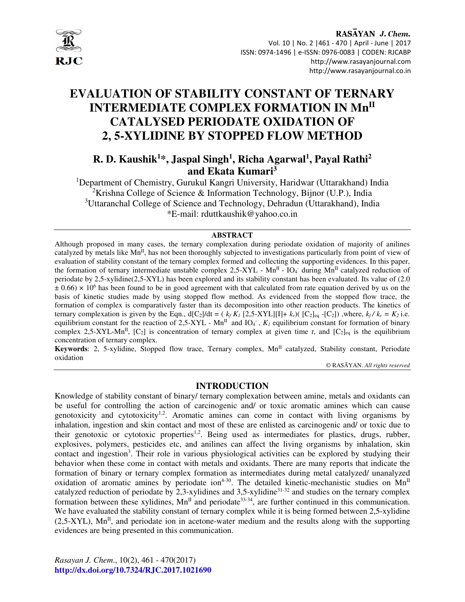

# **EVALUATION OF STABILITY CONSTANT OF TERNARY INTERMEDIATE COMPLEX FORMATION IN MnII CATALYSED PERIODATE OXIDATION OF 2, 5-XYLIDINE BY STOPPED FLOW METHOD**

**R. D. Kaushik<sup>1</sup>\*, Jaspal Singh<sup>1</sup> , Richa Agarwal<sup>1</sup> , Payal Rathi<sup>2</sup> and Ekata Kumari<sup>3</sup>**

<sup>1</sup>Department of Chemistry, Gurukul Kangri University, Haridwar (Uttarakhand) India <sup>2</sup>Krishna College of Science & Information Technology, Bijnor (U.P.), India <sup>3</sup>Uttaranchal College of Science and Technology, Dehradun (Uttarakhand), India \*E-mail: rduttkaushik@yahoo.co.in

#### **ABSTRACT**

Although proposed in many cases, the ternary complexation during periodate oxidation of majority of anilines catalyzed by metals like Mn<sup>II</sup>, has not been thoroughly subjected to investigations particularly from point of view of evaluation of stability constant of the ternary complex formed and collecting the supporting evidences. In this paper, the formation of ternary intermediate unstable complex  $2,5-XYL$  - Mn<sup>II</sup> - IO<sub>4</sub><sup>-</sup> during Mn<sup>II</sup> catalyzed reduction of periodate by 2,5-xylidine(2,5-XYL) has been explored and its stability constant has been evaluated. Its value of (2.0  $\pm$  0.66)  $\times$  10<sup>6</sup> has been found to be in good agreement with that calculated from rate equation derived by us on the basis of kinetic studies made by using stopped flow method. As evidenced from the stopped flow trace, the formation of complex is comparatively faster than its decomposition into other reaction products. The kinetics of ternary complexation is given by the Eqn.,  $d[C_2]/dt = (k_f K_I [2, 5-XYL][I] + k_f)([C_2]_{eq} - [C_2])$ , where,  $k_f / k_r = K_2$  i.e. equilibrium constant for the reaction of 2,5-XYL -  $Mn^{\text{II}}$  and IO<sub>4</sub><sup>-</sup>,  $K_l$  equilibrium constant for formation of binary complex 2,5-XYL-Mn<sup>II</sup>,  $[C_2]$  is concentration of ternary complex at given time *t*, and  $[C_2]_{eq}$  is the equilibrium concentration of ternary complex.

**Keywords**: 2, 5-xylidine, Stopped flow trace, Ternary complex,  $Mn<sup>H</sup>$  catalyzed, Stability constant, Periodate oxidation

© RASĀYAN. *All rights reserved*

#### **INTRODUCTION**

Knowledge of stability constant of binary/ ternary complexation between amine, metals and oxidants can be useful for controlling the action of carcinogenic and/ or toxic aromatic amines which can cause genotoxicity and cytotoxicity<sup>1,2</sup>. Aromatic amines can come in contact with living organisms by inhalation, ingestion and skin contact and most of these are enlisted as carcinogenic and/ or toxic due to their genotoxic or cytotoxic properties<sup>1,2</sup>. Being used as intermediates for plastics, drugs, rubber, explosives, polymers, pesticides etc, and anilines can affect the living organisms by inhalation, skin contact and ingestion<sup>3</sup>. Their role in various physiological activities can be explored by studying their behavior when these come in contact with metals and oxidants. There are many reports that indicate the formation of binary or ternary complex formation as intermediates during metal catalyzed/ unanalyzed oxidation of aromatic amines by periodate ion<sup>4-30</sup>. The detailed kinetic-mechanistic studies on  $Mn<sup>H</sup>$ catalyzed reduction of periodate by  $2,3$ -xylidines and  $3,5$ -xylidine $31-32$  and studies on the ternary complex formation between these xylidines,  $Mn^{\text{II}}$  and periodate<sup>33-34</sup>, are further continued in this communication. We have evaluated the stability constant of ternary complex while it is being formed between 2,5-xylidine  $(2.5-XYL)$ , Mn<sup>II</sup>, and periodate ion in acetone-water medium and the results along with the supporting evidences are being presented in this communication.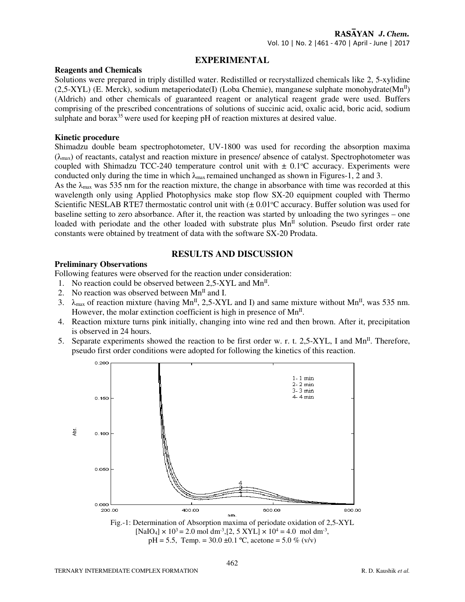## **EXPERIMENTAL**

#### **Reagents and Chemicals**

Solutions were prepared in triply distilled water. Redistilled or recrystallized chemicals like 2, 5-xylidine  $(2.5-XYL)$  (E. Merck), sodium metaperiodate(I) (Loba Chemie), manganese sulphate monohydrate(Mn<sup>II</sup>) (Aldrich) and other chemicals of guaranteed reagent or analytical reagent grade were used. Buffers comprising of the prescribed concentrations of solutions of succinic acid, oxalic acid, boric acid, sodium sulphate and borax $35$  were used for keeping pH of reaction mixtures at desired value.

## **Kinetic procedure**

Shimadzu double beam spectrophotometer, UV-1800 was used for recording the absorption maxima  $(\lambda_{\text{max}})$  of reactants, catalyst and reaction mixture in presence/ absence of catalyst. Spectrophotometer was coupled with Shimadzu TCC-240 temperature control unit with  $\pm 0.1^{\circ}$ C accuracy. Experiments were conducted only during the time in which  $\lambda_{\text{max}}$  remained unchanged as shown in Figures-1, 2 and 3.

As the  $\lambda_{\text{max}}$  was 535 nm for the reaction mixture, the change in absorbance with time was recorded at this wavelength only using Applied Photophysics make stop flow SX-20 equipment coupled with Thermo Scientific NESLAB RTE7 thermostatic control unit with  $(\pm 0.01^{\circ}C \text{ accuracy}$ . Buffer solution was used for baseline setting to zero absorbance. After it, the reaction was started by unloading the two syringes – one loaded with periodate and the other loaded with substrate plus Mn<sup>II</sup> solution. Pseudo first order rate constants were obtained by treatment of data with the software SX-20 Prodata.

**RESULTS AND DISCUSSION**

### **Preliminary Observations**

Following features were observed for the reaction under consideration:

- 1. No reaction could be observed between  $2,5-XYL$  and  $Mn<sup>H</sup>$ .
- 2. No reaction was observed between  $Mn^{\text{II}}$  and I.
- 3.  $\lambda_{\text{max}}$  of reaction mixture (having Mn<sup>II</sup>, 2,5-XYL and I) and same mixture without Mn<sup>II</sup>, was 535 nm. However, the molar extinction coefficient is high in presence of  $Mn<sup>II</sup>$ .
- 4. Reaction mixture turns pink initially, changing into wine red and then brown. After it, precipitation is observed in 24 hours.
- 5. Separate experiments showed the reaction to be first order w. r. t. 2,5-XYL, I and  $Mn^{\text{II}}$ . Therefore, pseudo first order conditions were adopted for following the kinetics of this reaction.



 $pH = 5.5$ , Temp. = 30.0 ±0.1 °C, acetone = 5.0 % (v/v)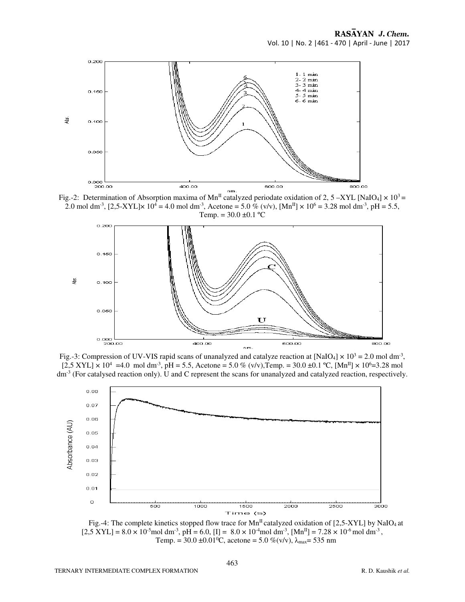

Fig.-2: Determination of Absorption maxima of Mn<sup>II</sup> catalyzed periodate oxidation of 2, 5 –XYL [NaIO<sub>4</sub>]  $\times$  10<sup>3</sup> = 2.0 mol dm<sup>-3</sup>, [2,5-XYL] $\times$  10<sup>4</sup> = 4.0 mol dm<sup>-3</sup>, Acetone = 5.0 % (v/v), [Mn<sup>II</sup>]  $\times$  10<sup>6</sup> = 3.28 mol dm<sup>-3</sup>, pH = 5.5, Temp. =  $30.0 \pm 0.1$  °C



Fig.-3: Compression of UV-VIS rapid scans of unanalyzed and catalyze reaction at [NaIO<sub>4</sub>]  $\times$  10<sup>3</sup> = 2.0 mol dm<sup>-3</sup>,  $[2,5 \text{ XVI}] \times 10^4 = 4.0 \text{ mol dm}^3$ , pH = 5.5, Acetone = 5.0 % (v/v), Temp. = 30.0 ±0.1 °C, [Mn<sup>II</sup>] × 10<sup>6</sup> = 3.28 mol dm<sup>-3</sup> (For catalysed reaction only). U and C represent the scans for unanalyzed and catalyzed reaction, respectively.



Fig.-4: The complete kinetics stopped flow trace for  $Mn<sup>H</sup>$  catalyzed oxidation of [2,5-XYL] by NaIO<sub>4</sub> at  $[2,5 \text{ XVI}] = 8.0 \times 10^{-5} \text{mol dm}^3$ , pH = 6.0,  $[I] = 8.0 \times 10^{-4} \text{mol dm}^3$ ,  $[Mn^II] = 7.28 \times 10^{-6} \text{mol dm}^3$ , Temp. =  $30.0 \pm 0.01^{\circ}$ C, acetone =  $5.0 \%$  (v/v),  $\lambda_{\text{max}}$  = 535 nm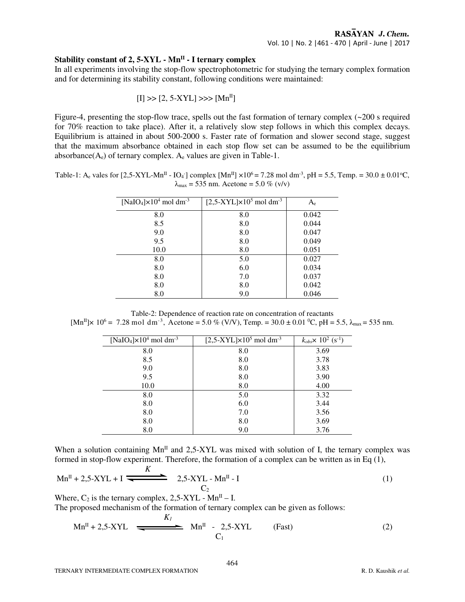## **Stability constant of 2, 5-XYL - MnII - I ternary complex**

In all experiments involving the stop-flow spectrophotometric for studying the ternary complex formation and for determining its stability constant, following conditions were maintained:

$$
[I] \gg [2, 5-XYL] \gg [Mn^{II}]
$$

Figure-4, presenting the stop-flow trace, spells out the fast formation of ternary complex (~200 s required for 70% reaction to take place). After it, a relatively slow step follows in which this complex decays. Equilibrium is attained in about 500-2000 s. Faster rate of formation and slower second stage, suggest that the maximum absorbance obtained in each stop flow set can be assumed to be the equilibrium absorbance( $A_e$ ) of ternary complex.  $A_e$  values are given in Table-1.

Table-1: A<sub>e</sub> vales for [2,5-XYL-Mn<sup>II</sup> - IO<sub>4</sub><sup>-</sup>] complex [Mn<sup>II</sup>] ×10<sup>6</sup> = 7.28 mol dm<sup>-3</sup>, pH = 5.5, Temp. = 30.0 ± 0.01<sup>o</sup>C,  $\lambda_{\text{max}} = 535 \text{ nm}$ . Acetone = 5.0 % (v/v)

| [NaIO <sub>4</sub> ] $\times$ 10 <sup>4</sup> mol dm <sup>-3</sup> | $[2,5-XYL] \times 10^5$ mol dm <sup>-3</sup> | $A_{\rm e}$ |  |
|--------------------------------------------------------------------|----------------------------------------------|-------------|--|
| 8.0                                                                | 8.0                                          | 0.042       |  |
| 8.5                                                                | 8.0                                          | 0.044       |  |
| 9.0                                                                | 8.0                                          | 0.047       |  |
| 9.5                                                                | 8.0                                          | 0.049       |  |
| 10.0                                                               | 8.0                                          | 0.051       |  |
| 8.0                                                                | 5.0                                          | 0.027       |  |
| 8.0                                                                | 6.0                                          | 0.034       |  |
| 8.0                                                                | 7.0                                          | 0.037       |  |
| 8.0                                                                | 8.0                                          | 0.042       |  |
| 8.0                                                                | 9.0                                          | 0.046       |  |

Table-2: Dependence of reaction rate on concentration of reactants  $[Mn^{II}] \times 10^6 = 7.28 \text{ mol dm}^{-3}$ , Acetone = 5.0 % (V/V), Temp. = 30.0 ± 0.01 °C, pH = 5.5,  $\lambda_{\text{max}}$  = 535 nm.

| [NaIO <sub>4</sub> ] $\times$ 10 <sup>4</sup> mol dm <sup>-3</sup> | $[2,5-XYL] \times 10^5$ mol dm <sup>-3</sup> | $k_{obs}$ × 10 <sup>2</sup> (s <sup>-1</sup> ) |  |  |
|--------------------------------------------------------------------|----------------------------------------------|------------------------------------------------|--|--|
| 8.0                                                                | 8.0                                          | 3.69                                           |  |  |
| 8.5                                                                | 8.0                                          | 3.78                                           |  |  |
| 9.0                                                                | 8.0                                          | 3.83                                           |  |  |
| 9.5                                                                | 8.0                                          | 3.90                                           |  |  |
| 10.0                                                               | 8.0                                          | 4.00                                           |  |  |
| 8.0                                                                | 5.0                                          | 3.32                                           |  |  |
| 8.0                                                                | 6.0                                          | 3.44                                           |  |  |
| 8.0                                                                | 7.0                                          | 3.56                                           |  |  |
| 8.0                                                                | 8.0                                          | 3.69                                           |  |  |
| 8.0                                                                | 9.0                                          | 3.76                                           |  |  |

When a solution containing  $Mn^{\text{II}}$  and 2,5-XYL was mixed with solution of I, the ternary complex was formed in stop-flow experiment. Therefore, the formation of a complex can be written as in Eq (1),

$$
Mn^{II} + 2.5-XYL + I \xrightarrow{\text{K}} 2.5-XYL - Mn^{II} - I
$$
 (1)

Where,  $C_2$  is the ternary complex, 2,5-XYL - Mn<sup>II</sup> – I.

The proposed mechanism of the formation of ternary complex can be given as follows:

$$
Mn^{II} + 2,5-XYL \xrightarrow{\qquad K_I} Mn^{II} - 2,5-XYL \qquad \text{(Fast)} \qquad (2)
$$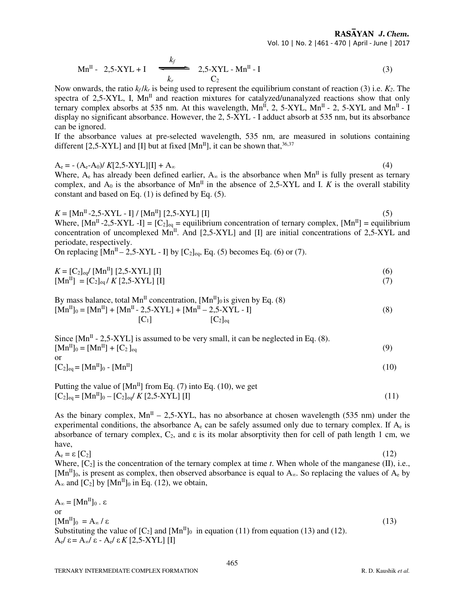RASAYAN J. Chem. Vol. 10 | No. 2 |461 - 470 | April - June | 2017

$$
Mn^{II} - 2.5-XYL + I \quad \xleftarrow{k_f} \quad 2.5-XYL - Mn^{II} - I \tag{3}
$$

Now onwards, the ratio  $k_f / k_f$  is being used to represent the equilibrium constant of reaction (3) i.e.  $K_2$ . The spectra of 2,5-XYL, I,  $Mn^{\text{II}}$  and reaction mixtures for catalyzed/unanalyzed reactions show that only ternary complex absorbs at 535 nm. At this wavelength,  $Mn^{II}$ , 2, 5-XYL,  $Mn^{II}$  - 2, 5-XYL and  $Mn^{II}$  - I display no significant absorbance. However, the 2, 5-XYL - I adduct absorb at 535 nm, but its absorbance can be ignored.

If the absorbance values at pre-selected wavelength, 535 nm, are measured in solutions containing different [2,5-XYL] and [I] but at fixed  $[Mn^{II}]$ , it can be shown that,  $36,37$ 

 $A_e$  =  $-(A_e - A_0)/K[2, 5-XYL][1] + A_\infty$  (4)

Where,  $A_e$  has already been defined earlier,  $A_\infty$  is the absorbance when Mn<sup>II</sup> is fully present as ternary complex, and  $A_0$  is the absorbance of  $Mn^{\text{II}}$  in the absence of 2,5-XYL and I. *K* is the overall stability constant and based on Eq. (1) is defined by Eq. (5).

 $K = [Mn^{II} - 2, 5 - XYL - I] / [Mn^{II}] [2, 5 - XYL] [I]$  (5) Where,  $[Mn^II - 2.5 - XYL - I] = [C_2]_{eq} =$  equilibrium concentration of ternary complex,  $[Mn^II] =$  equilibrium concentration of uncomplexed  $Mn^{II}$ . And [2,5-XYL] and [I] are initial concentrations of 2,5-XYL and periodate, respectively.

On replacing  $[Mn^II - 2.5-XYL - I]$  by  $[C_2]_{eq}$ , Eq. (5) becomes Eq. (6) or (7).

$$
K = [C_2]_{eq} / [Mn^{II}] [2,5-XYL] [I]
$$
  
\n
$$
[Mn^{II}] = [C_2]_{eq} / K [2,5-XYL] [I]
$$
\n(7)

By mass balance, total Mn<sup>II</sup> concentration,  $[Mn^{II}]_0$  is given by Eq. (8)  $[Mn^{II}]_0 = [Mn^{II}] + [Mn^{II} - 2.5 - XYL] + [Mn^{II} - 2.5 - XYL - I]$  (8)  $[C_1]$   $[C_2]$ <sub>eq</sub>

Since  $[Mn^II - 2.5-XYL]$  is assumed to be very small, it can be neglected in Eq. (8).  $[{\rm Mn}^{\rm II}]_0 = [{\rm Mn}^{\rm II}] + [{\rm C}_2]_{\rm eq}$  (9) or  $[C_2]_{\text{eq}} = [Mn^{II}]_0 - [Mn^{II}]$  (10)

Putting the value of  $[Mn^{II}]$  from Eq. (7) into Eq. (10), we get  $[C_2]_{eq} = [Mn^{II}]_0 - [C_2]_{eq} / K [2, 5-XYL] [I]$  (11)

As the binary complex,  $Mn^{\text{II}} - 2.5-XYL$ , has no absorbance at chosen wavelength (535 nm) under the experimental conditions, the absorbance  $A_e$  can be safely assumed only due to ternary complex. If  $A_e$  is absorbance of ternary complex,  $C_2$ , and  $\varepsilon$  is its molar absorptivity then for cell of path length 1 cm, we have,

 $A_e = \varepsilon [C_2]$  (12) Where,  $[C_2]$  is the concentration of the ternary complex at time *t*. When whole of the manganese (II), i.e.,  $[Mn^{II}]_0$ , is present as complex, then observed absorbance is equal to A<sub>∞</sub>. So replacing the values of A<sub>e</sub> by  $A_{\infty}$  and  $[C_2]$  by  $[Mn^{II}]_0$  in Eq. (12), we obtain,

 $A_{\infty} = [Mn^{II}]_0 \cdot \varepsilon$ or  $\left[\text{Mn}^{\text{II}}\right]_0 = A_{\infty}/\varepsilon$  (13) Substituting the value of  $[C_2]$  and  $[Mn^II]_0$  in equation (11) from equation (13) and (12). Ae/ ε = A∞/ ε - Ae/ ε *K* [2,5-XYL] [I]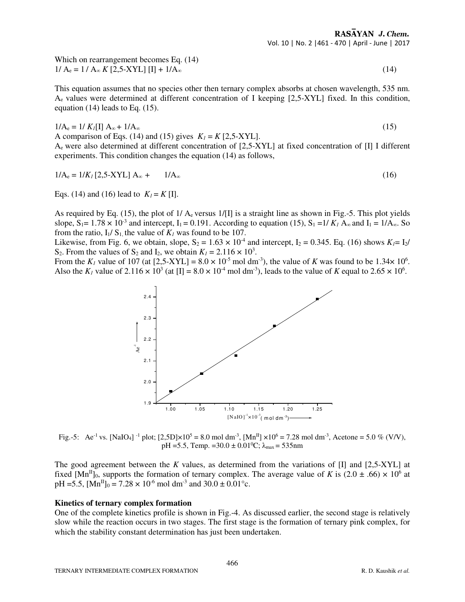Which on rearrangement becomes Eq. (14)  $1/A_e = 1/A_\infty K [2.5-XYL] [\text{I}] + 1/A_\infty$  (14)

This equation assumes that no species other then ternary complex absorbs at chosen wavelength, 535 nm. Ae values were determined at different concentration of I keeping [2,5-XYL] fixed. In this condition, equation (14) leads to Eq. (15).

 $1/A_e = 1/K_I[\Pi A_\infty + 1/A_\infty$  (15) A comparison of Eqs. (14) and (15) gives  $K_I = K$  [2,5-XYL]. Ae were also determined at different concentration of [2,5-XYL] at fixed concentration of [I] I different experiments. This condition changes the equation (14) as follows,

$$
1/A_e = 1/K_I [2, 5-XYL] A_{\infty} + 1/A_{\infty}
$$
 (16)

Eqs. (14) and (16) lead to  $K_l = K$  [I].

As required by Eq. (15), the plot of  $1/A<sub>e</sub>$  versus  $1/[I]$  is a straight line as shown in Fig.-5. This plot yields slope,  $S_1 = 1.78 \times 10^{-3}$  and intercept,  $I_1 = 0.191$ . According to equation (15),  $S_1 = 1/K_I A_\infty$  and  $I_1 = 1/A_\infty$ . So from the ratio,  $I_1/S_1$ , the value of  $K_1$  was found to be 107.

Likewise, from Fig. 6, we obtain, slope,  $S_2 = 1.63 \times 10^{-4}$  and intercept,  $I_2 = 0.345$ . Eq. (16) shows  $K_1 = I_2$ / S<sub>2</sub>. From the values of S<sub>2</sub> and I<sub>2</sub>, we obtain  $K_l = 2.116 \times 10^3$ .

From the  $K_I$  value of 107 (at  $[2,5-XYL] = 8.0 \times 10^{-5}$  mol dm<sup>-3</sup>), the value of *K* was found to be 1.34 $\times$  10<sup>6</sup>. Also the  $K_l$  value of  $2.116 \times 10^3$  (at [I] =  $8.0 \times 10^{-4}$  mol dm<sup>-3</sup>), leads to the value of *K* equal to  $2.65 \times 10^6$ .



Fig.-5: Ae<sup>-1</sup> vs. [NaIO<sub>4</sub>] <sup>-1</sup> plot; [2,5D]×10<sup>5</sup> = 8.0 mol dm<sup>-3</sup>, [Mn<sup>II</sup>] ×10<sup>6</sup> = 7.28 mol dm<sup>-3</sup>, Acetone = 5.0 % (V/V), pH =5.5, Temp. =30.0  $\pm$  0.01<sup>o</sup>C;  $\lambda_{\text{max}}$  = 535nm

The good agreement between the *K* values, as determined from the variations of [I] and [2,5-XYL] at fixed [Mn<sup>II</sup>]<sub>0</sub>, supports the formation of ternary complex. The average value of *K* is  $(2.0 \pm .66) \times 10^6$  at  $pH = 5.5$ ,  $[Mn^{II}]_0 = 7.28 \times 10^{-6}$  mol dm<sup>-3</sup> and  $30.0 \pm 0.01^{\circ}$ c.

#### **Kinetics of ternary complex formation**

One of the complete kinetics profile is shown in Fig.-4. As discussed earlier, the second stage is relatively slow while the reaction occurs in two stages. The first stage is the formation of ternary pink complex, for which the stability constant determination has just been undertaken.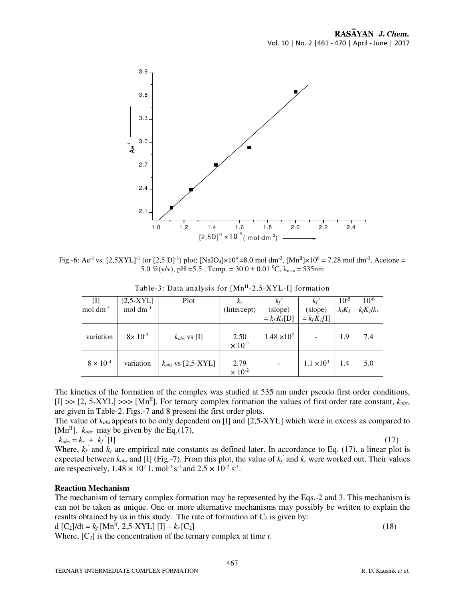

Fig.-6: Ae<sup>-1</sup> vs. [2,5XYL]<sup>-1</sup> (or [2,5 D]<sup>-1</sup>) plot; [NaIO<sub>4</sub>]×10<sup>4</sup> =8.0 mol dm<sup>-3</sup>, [Mn<sup>II</sup>]×10<sup>6</sup> = 7.28 mol dm<sup>-3</sup>, Acetone = 5.0 %(v/v), pH = 5.5 , Temp. =  $30.0 \pm 0.01$  °C,  $\lambda_{\text{max}} = 535$ nm

| $\left[ \mathrm{I}\right]$<br>$mol \, \text{dm}^3$ | $[2,5-XYL]$<br>mol $dm^{-3}$ | Plot                   | $K_r$<br>(Intercept)     | $k_f$<br>(slope)<br>$= k_f K_I[D]$ | $k_f$<br>(slope)<br>$= k_f K_I[I]$ | $10^{-5}$<br>$k_f K_I$ | $10^{-6}$<br>$k_f K_l/k_r$ |
|----------------------------------------------------|------------------------------|------------------------|--------------------------|------------------------------------|------------------------------------|------------------------|----------------------------|
| variation                                          | $8 \times 10^{-5}$           | $k_{obs}$ vs [I]       | 2.50<br>$\times 10^{-2}$ | $1.48 \times 10^{2}$               |                                    | 1.9                    | 7.4                        |
| $8 \times 10^{-4}$                                 | variation                    | $k_{obs}$ vs [2,5-XYL] | 2.79<br>$\times 10^{-2}$ |                                    | $1.1 \times 10^{3}$                | 1.4                    | 5.0                        |

Table-3: Data analysis for [Mn<sup>II</sup>-2,5-XYL-I] formation

The kinetics of the formation of the complex was studied at 535 nm under pseudo first order conditions,  $[I] \gg [2, 5-XYL] \gg [Mn<sup>H</sup>]$ . For ternary complex formation the values of first order rate constant,  $k_{obs}$ , are given in Table-2. Figs.-7 and 8 present the first order plots.

The value of *kobs* appears to be only dependent on [I] and [2,5-XYL] which were in excess as compared to [ $Mn^{II}$ ].  $k_{obs}$  may be given by the Eq.(17),

$$
k_{obs} = k_r + k_f \left[1\right]
$$

 *'* [I] (17)

Where,  $k_f$  and  $k_r$  are empirical rate constants as defined later. In accordance to Eq. (17), a linear plot is expected between  $k_{obs}$  and [I] (Fig.-7). From this plot, the value of  $k_f$  and  $k_r$  were worked out. Their values are respectively,  $1.48 \times 10^2$  L mol<sup>-1</sup> s<sup>-1</sup> and  $2.5 \times 10^{-2}$  s<sup>-1</sup>.

## **Reaction Mechanism**

The mechanism of ternary complex formation may be represented by the Eqs.-2 and 3. This mechanism is can not be taken as unique. One or more alternative mechanisms may possibly be written to explain the results obtained by us in this study. The rate of formation of  $C_2$  is given by:

d  $[C_2]/dt = k_f [Mn^{II}, 2, 5-XYL] [I] - k_r [C_2]$  (18)

Where,  $[C_2]$  is the concentration of the ternary complex at time  $t$ .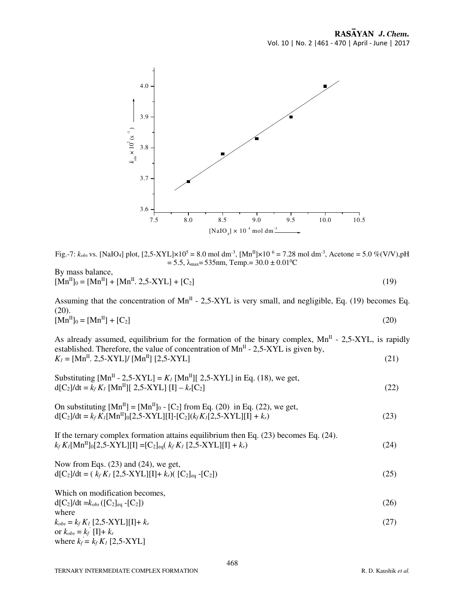

Fig.-7:  $k_{obs}$  vs. [NaIO<sub>4</sub>] plot, [2,5-XYL]×10<sup>5</sup> = 8.0 mol dm<sup>-3</sup>, [Mn<sup>II</sup>]×10<sup>6</sup> = 7.28 mol dm<sup>-3</sup>, Acetone = 5.0 %(V/V),pH  $= 5.5$ ,  $\lambda_{\text{max}} = 535$ nm, Temp.=  $30.0 \pm 0.01$ <sup>o</sup>C

By mass balance,  $[Mn^{II}]_0 = [Mn^{II}] + [Mn^{II}, 2, 5-XYL] + [C_2]$  (19)

Assuming that the concentration of  $Mn^{II}$  - 2,5-XYL is very small, and negligible, Eq. (19) becomes Eq.  $(20)$ .  $[Mn^{II}]_0 = [Mn^{II}] + [C_2]$  (20)

As already assumed, equilibrium for the formation of the binary complex,  $Mn<sup>H</sup>$  - 2,5-XYL, is rapidly established. Therefore, the value of concentration of  $Mn<sup>H</sup>$  - 2,5-XYL is given by,  $K_l = [Mn^{II}, 2.5-XYL]/ [Mn^{II}] [2.5-XYL]$  (21)

Substituting 
$$
[Mn^{II} - 2,5-XYL] = K_I [Mn^{II}][2,5-XYL]
$$
 in Eq. (18), we get,  
d $[C_2]/dt = k_f K_I [Mn^{II}][2,5-XYL]$  [I $] - k_I[C_2]$  (22)

On substituting 
$$
[Mn^{II}] = [Mn^{II}]_0 - [C_2]
$$
 from Eq. (20) in Eq. (22), we get,  
d $[C_2]/dt = k_f K_I[Mn^{II}]_0[2,5-XYL][I] - [C_2](k_f K_I[2,5-XYL][I] + k_r)$  (23)

If the ternary complex formation attains equilibrium then Eq. (23) becomes Eq. (24).  $k_f K_I[\text{Mn}^{\text{II}}]_0[2,5-X\text{YL}][\text{I}] = [C_2]_{eq}(k_f K_I [2,5-X\text{YL}][\text{I}] + k_r)$  (24)

Now from Eqs. (23) and (24), we get,  
\n
$$
d[C_2]/dt = (k_f K_I [2,5-XYL][I]+k_r)( [C_2]_{eq} - [C_2])
$$
\n(25)

Which on modification becomes,  $d[C_2]/dt = k_{obs}([C_2]_{eq} - [C_2])$  (26) where  $k_{obs} = k_f K_I [2, 5-XYL][1] + k_r$  (27) or  $k_{obs} = k_f$ <sup>'</sup> [I]+  $k_r$ where  $k_f = k_f K_I [2, 5-XYL]$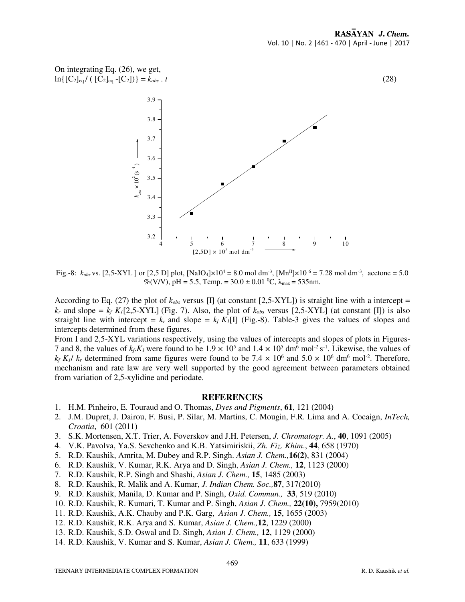

Fig.-8:  $k_{obs}$  vs. [2,5-XYL] or [2,5 D] plot, [NaIO<sub>4</sub>] $\times 10^4 = 8.0$  mol dm<sup>-3</sup>, [Mn<sup>II</sup>] $\times 10^{-6} = 7.28$  mol dm<sup>-3</sup>, acetone = 5.0 %(V/V), pH = 5.5, Temp. =  $30.0 \pm 0.01$  °C,  $\lambda_{\text{max}}$  = 535nm.

According to Eq. (27) the plot of  $k_{obs}$  versus [I] (at constant [2,5-XYL]) is straight line with a intercept =  $k_r$  and slope =  $k_f$  K<sub>1</sub>[2,5-XYL] (Fig. 7). Also, the plot of  $k_{obs}$  versus [2,5-XYL] (at constant [I]) is also straight line with intercept =  $k_f$  and slope =  $k_f K_I[\Pi]$  (Fig.-8). Table-3 gives the values of slopes and intercepts determined from these figures.

From I and 2,5-XYL variations respectively, using the values of intercepts and slopes of plots in Figures-7 and 8, the values of  $k_f$ . $K_l$  were found to be  $1.9 \times 10^5$  and  $1.4 \times 10^5$  dm<sup>6</sup> mol<sup>-2</sup> s<sup>-1</sup>. Likewise, the values of  $k_f$  *K*<sub>1</sub>/  $k_r$  determined from same figures were found to be 7.4  $\times$  10<sup>6</sup> and 5.0  $\times$  10<sup>6</sup> dm<sup>6</sup> mol<sup>-2</sup>. Therefore, mechanism and rate law are very well supported by the good agreement between parameters obtained from variation of 2,5-xylidine and periodate.

#### **REFERENCES**

- 1. H.M. Pinheiro, E. Touraud and O. Thomas, *Dyes and Pigments*, **61**, 121 (2004)
- 2. J.M. Dupret, J. Dairou, F. Busi, P. Silar, M. Martins, C. Mougin, F.R. Lima and A. Cocaign, *InTech, Croatia*, 601 (2011)
- 3. S.K. Mortensen, X.T. Trier, A. Foverskov and J.H. Petersen, *J. Chromatogr. A*., **40**, 1091 (2005)
- 4. V.K. Pavolva, Ya.S. Sevchenko and K.B. Yatsimiriskii, *Zh. Fiz. Khim*., **44**, 658 (1970)
- 5. R.D. Kaushik, Amrita, M. Dubey and R.P. Singh. *Asian J. Chem.,***16(2)**, 831 (2004)
- 6. R.D. Kaushik, V. Kumar, R.K. Arya and D. Singh, *Asian J. Chem.,* **12**, 1123 (2000)
- 7. R.D. Kaushik, R.P. Singh and Shashi, *Asian J. Chem.,* **15**, 1485 (2003)
- 8. R.D. Kaushik, R. Malik and A. Kumar, *J. Indian Chem. Soc.,***87**, 317(2010)
- 9. R.D. Kaushik, Manila, D. Kumar and P. Singh, *Oxid. Commun.,* **33**, 519 (2010)
- 10. R.D. Kaushik, R. Kumari, T. Kumar and P. Singh, *Asian J. Chem.,* **22(10),** 7959(2010)
- 11. R.D. Kaushik, A.K. Chauby and P.K. Garg, *Asian J. Chem.,* **15**, 1655 (2003)
- 12. R.D. Kaushik, R.K. Arya and S. Kumar, *Asian J. Chem.,***12**, 1229 (2000)
- 13. R.D. Kaushik, S.D. Oswal and D. Singh, *Asian J. Chem.,* **12**, 1129 (2000)
- 14. R.D. Kaushik, V. Kumar and S. Kumar, *Asian J. Chem.,* **11**, 633 (1999)